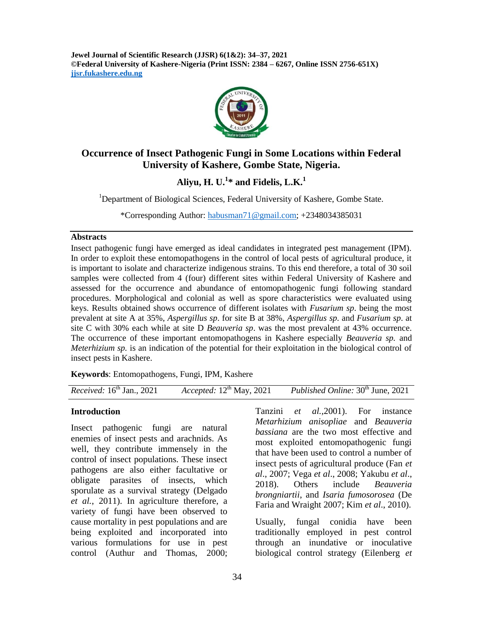**Jewel Journal of Scientific Research (JJSR) 6(1&2): 34–37, 2021 ©Federal University of Kashere-Nigeria (Print ISSN: 2384 – 6267, Online ISSN 2756-651X) jjsr.fukashere.edu.ng**



# **Occurrence of Insect Pathogenic Fungi in Some Locations within Federal University of Kashere, Gombe State, Nigeria.**

**Aliyu, H. U.<sup>1</sup> \* and Fidelis, L.K.<sup>1</sup>**

<sup>1</sup>Department of Biological Sciences, Federal University of Kashere, Gombe State.

\*Corresponding Author: [habusman71@gmail.com;](mailto:habusman71@gmail.com) +2348034385031

#### **Abstracts**

Insect pathogenic fungi have emerged as ideal candidates in integrated pest management (IPM). In order to exploit these entomopathogens in the control of local pests of agricultural produce, it is important to isolate and characterize indigenous strains. To this end therefore, a total of 30 soil samples were collected from 4 (four) different sites within Federal University of Kashere and assessed for the occurrence and abundance of entomopathogenic fungi following standard procedures. Morphological and colonial as well as spore characteristics were evaluated using keys. Results obtained shows occurrence of different isolates with *Fusarium sp*. being the most prevalent at site A at 35%, *Aspergillus sp*. for site B at 38%, *Aspergillus sp*. and *Fusarium sp*. at site C with 30% each while at site D *Beauveria sp*. was the most prevalent at 43% occurrence. The occurrence of these important entomopathogens in Kashere especially *Beauveria sp.* and *Meterhizium sp.* is an indication of the potential for their exploitation in the biological control of insect pests in Kashere.

**Keywords**: Entomopathogens, Fungi, IPM, Kashere

| <i>Received</i> : $16th$ Jan., 2021 | Accepted: $12^{\text{th}}$ May, 2021 | <i>Published Online:</i> 30 <sup>th</sup> June, 2021 |
|-------------------------------------|--------------------------------------|------------------------------------------------------|
|-------------------------------------|--------------------------------------|------------------------------------------------------|

## **Introduction**

Insect pathogenic fungi are natural enemies of insect pests and arachnids. As well, they contribute immensely in the control of insect populations. These insect pathogens are also either facultative or obligate parasites of insects, which sporulate as a survival strategy (Delgado *et al.*, 2011). In agriculture therefore, a variety of fungi have been observed to cause mortality in pest populations and are being exploited and incorporated into various formulations for use in pest control (Authur and Thomas, 2000;

Tanzini *et al.,*2001). For instance *Metarhizium anisopliae* and *Beauveria bassiana* are the two most effective and most exploited entomopathogenic fungi that have been used to control a number of insect pests of agricultural produce (Fan *et al*., 2007; Vega *et al*., 2008; Yakubu *et al*., 2018). Others include *Beauveria brongniartii*, and *Isaria fumosorosea* (De Faria and Wraight 2007; Kim *et al*., 2010).

Usually, fungal conidia have been traditionally employed in pest control through an inundative or inoculative biological control strategy (Eilenberg *et*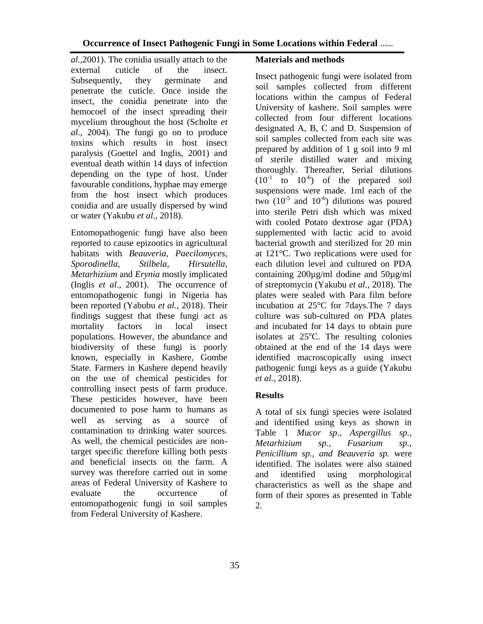*al.,*2001). The conidia usually attach to the external cuticle of the insect. Subsequently, they germinate and penetrate the cuticle. Once inside the insect, the conidia penetrate into the hemocoel of the insect spreading their mycelium throughout the host (Scholte *et al.,* 2004). The fungi go on to produce toxins which results in host insect paralysis (Goettel and Inglis, 2001) and eventual death within 14 days of infection depending on the type of host. Under favourable conditions, hyphae may emerge from the host insect which produces conidia and are usually dispersed by wind or water (Yakubu *et al.,* 2018).

Entomopathogenic fungi have also been reported to cause epizootics in agricultural habitats with *Beauveria*, *Paecilomyces*, *Sporodinella*, *Stilbela*, *Hirsutella*, *Metarhizium* and *Erynia* mostly implicated (Inglis *et al*., 2001). The occurrence of entomopathogenic fungi in Nigeria has been reported (Yabubu *et al.,* 2018). Their findings suggest that these fungi act as mortality factors in local insect populations. However, the abundance and biodiversity of these fungi is poorly known, especially in Kashere, Gombe State. Farmers in Kashere depend heavily on the use of chemical pesticides for controlling insect pests of farm produce. These pesticides however, have been documented to pose harm to humans as well as serving as a source of contamination to drinking water sources. As well, the chemical pesticides are nontarget specific therefore killing both pests and beneficial insects on the farm. A survey was therefore carried out in some areas of Federal University of Kashere to evaluate the occurrence of entomopathogenic fungi in soil samples from Federal University of Kashere.

# **Materials and methods**

Insect pathogenic fungi were isolated from soil samples collected from different locations within the campus of Federal University of kashere. Soil samples were collected from four different locations designated A, B, C and D. Suspension of soil samples collected from each site was prepared by addition of 1 g soil into 9 ml of sterile distilled water and mixing thoroughly. Thereafter, Serial dilutions  $(10^{-1} \text{ to } 10^{-6})$  of the prepared soil suspensions were made. 1ml each of the two  $(10^{-5}$  and  $10^{-6}$ ) dilutions was poured into sterile Petri dish which was mixed with cooled Potato dextrose agar (PDA) supplemented with lactic acid to avoid bacterial growth and sterilized for 20 min at 121°C. Two replications were used for each dilution level and cultured on PDA containing 200µg/ml dodine and 50µg/ml of streptomycin (Yakubu *et al.,* 2018). The plates were sealed with Para film before incubation at 25°C for 7days.The 7 days culture was sub-cultured on PDA plates and incubated for 14 days to obtain pure isolates at  $25^{\circ}$ C. The resulting colonies obtained at the end of the 14 days were identified macroscopically using insect pathogenic fungi keys as a guide (Yakubu *et al.,* 2018).

# **Results**

A total of six fungi species were isolated and identified using keys as shown in Table 1 *Mucor sp., Aspergillus sp., Metarhizium sp., Fusarium sp., Penicillium sp., and Beauveria sp.* were identified. The isolates were also stained and identified using morphological characteristics as well as the shape and form of their spores as presented in Table 2.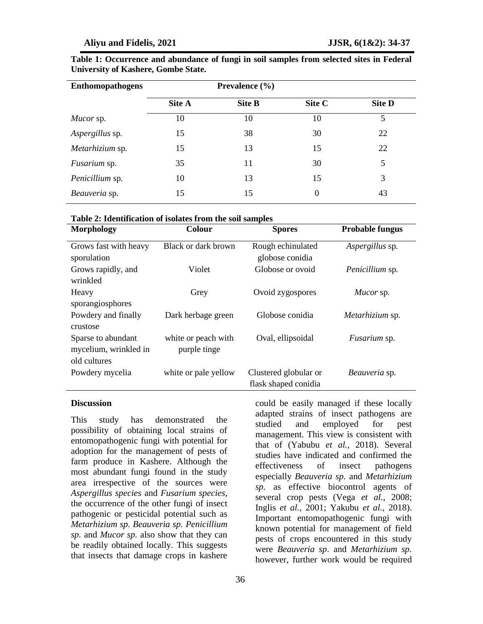| <b>Enthomopathogens</b> | Prevalence $(\% )$ |               |        |               |
|-------------------------|--------------------|---------------|--------|---------------|
|                         | Site A             | <b>Site B</b> | Site C | <b>Site D</b> |
| <i>Mucor</i> sp.        | 10                 | 10            | 10     | 5             |
| Aspergillus sp.         | 15                 | 38            | 30     | 22            |
| Metarhizium sp.         | 15                 | 13            | 15     | 22            |
| Fusarium sp.            | 35                 | 11            | 30     | 5             |
| Penicillium sp.         | 10                 | 13            | 15     | 3             |
| Beauveria sp.           | 15                 | 15            | 0      | 43            |

| Table 1: Occurrence and abundance of fungi in soil samples from selected sites in Federal |  |  |  |  |
|-------------------------------------------------------------------------------------------|--|--|--|--|
| <b>University of Kashere, Gombe State.</b>                                                |  |  |  |  |

#### **Table 2: Identification of isolates from the soil samples**

| <b>Morphology</b>                                           | Colour                              | <b>Spores</b>                                 | <b>Probable fungus</b> |  |
|-------------------------------------------------------------|-------------------------------------|-----------------------------------------------|------------------------|--|
| Grows fast with heavy<br>sporulation                        | Black or dark brown                 | Rough echinulated<br>globose conidia          | Aspergillus sp.        |  |
| Grows rapidly, and<br>wrinkled                              | Violet                              | Globose or ovoid                              | Penicillium sp.        |  |
| Heavy<br>sporangiosphores                                   | Grey                                | Ovoid zygospores                              | Mucor sp.              |  |
| Powdery and finally<br>crustose                             | Dark herbage green                  | Globose conidia                               | Metarhizium sp.        |  |
| Sparse to abundant<br>mycelium, wrinkled in<br>old cultures | white or peach with<br>purple tinge | Oval, ellipsoidal                             | <i>Fusarium</i> sp.    |  |
| Powdery mycelia                                             | white or pale yellow                | Clustered globular or<br>flask shaped conidia | Beauveria sp.          |  |

### **Discussion**

This study has demonstrated the possibility of obtaining local strains of entomopathogenic fungi with potential for adoption for the management of pests of farm produce in Kashere. Although the most abundant fungi found in the study area irrespective of the sources were *Aspergillus species* and *Fusarium species*, the occurrence of the other fungi of insect pathogenic or pesticidal potential such as *Metarhizium sp*. *Beauveria sp. Penicillium sp.* and *Mucor sp.* also show that they can be readily obtained locally. This suggests that insects that damage crops in kashere

were *Beauveria sp*. and *Metarhizium sp.* however, further work would be required

could be easily managed if these locally adapted strains of insect pathogens are studied and employed for pest management. This view is consistent with that of (Yabubu *et al.,* 2018). Several studies have indicated and confirmed the effectiveness of insect pathogens especially *Beauveria sp.* and *Metarhizium sp.* as effective biocontrol agents of several crop pests (Vega *et al.*, 2008; Inglis *et al.,* 2001; Yakubu *et al.,* 2018). Important entomopathogenic fungi with known potential for management of field pests of crops encountered in this study